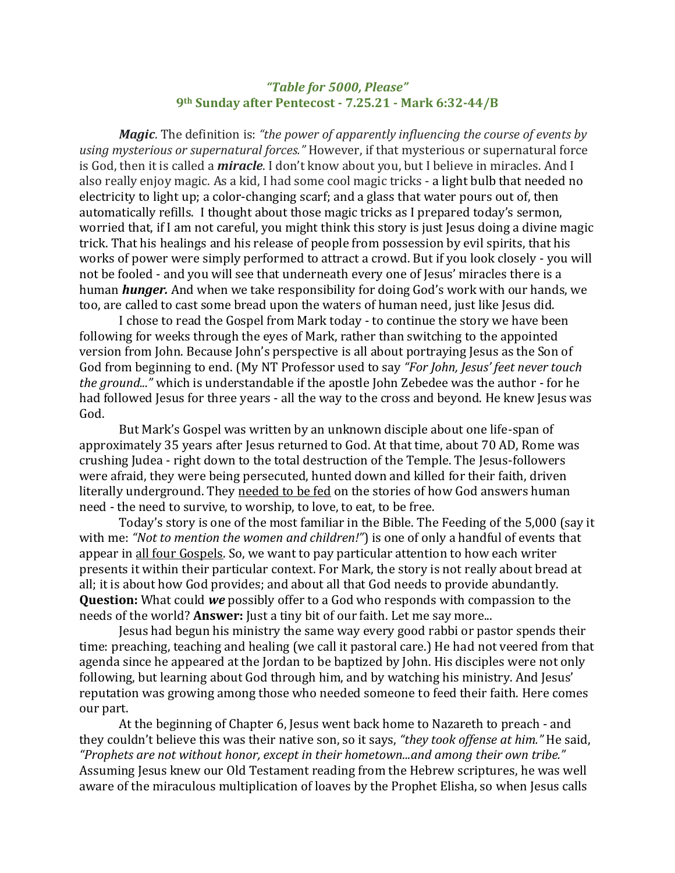## *"Table for 5000, Please"* **9th Sunday after Pentecost - 7.25.21 - Mark 6:32-44/B**

*Magic*. The definition is: *"the power of apparently influencing the course of events by using mysterious or supernatural forces."* However, if that mysterious or supernatural force is God, then it is called a *miracle*. I don't know about you, but I believe in miracles. And I also really enjoy magic. As a kid, I had some cool magic tricks - a light bulb that needed no electricity to light up; a color-changing scarf; and a glass that water pours out of, then automatically refills. I thought about those magic tricks as I prepared today's sermon, worried that, if I am not careful, you might think this story is just Jesus doing a divine magic trick. That his healings and his release of people from possession by evil spirits, that his works of power were simply performed to attract a crowd. But if you look closely - you will not be fooled - and you will see that underneath every one of Jesus' miracles there is a human *hunger.* And when we take responsibility for doing God's work with our hands, we too, are called to cast some bread upon the waters of human need, just like Jesus did.

I chose to read the Gospel from Mark today - to continue the story we have been following for weeks through the eyes of Mark, rather than switching to the appointed version from John. Because John's perspective is all about portraying Jesus as the Son of God from beginning to end. (My NT Professor used to say *"For John, Jesus' feet never touch the ground..."* which is understandable if the apostle John Zebedee was the author - for he had followed Jesus for three years - all the way to the cross and beyond. He knew Jesus was God.

But Mark's Gospel was written by an unknown disciple about one life-span of approximately 35 years after Jesus returned to God. At that time, about 70 AD, Rome was crushing Judea - right down to the total destruction of the Temple. The Jesus-followers were afraid, they were being persecuted, hunted down and killed for their faith, driven literally underground. They needed to be fed on the stories of how God answers human need - the need to survive, to worship, to love, to eat, to be free.

Today's story is one of the most familiar in the Bible. The Feeding of the 5,000 (say it with me: *"Not to mention the women and children!"*) is one of only a handful of events that appear in all four Gospels. So, we want to pay particular attention to how each writer presents it within their particular context. For Mark, the story is not really about bread at all; it is about how God provides; and about all that God needs to provide abundantly. **Question:** What could *we* possibly offer to a God who responds with compassion to the needs of the world? **Answer:** Just a tiny bit of our faith. Let me say more...

Jesus had begun his ministry the same way every good rabbi or pastor spends their time: preaching, teaching and healing (we call it pastoral care.) He had not veered from that agenda since he appeared at the Jordan to be baptized by John. His disciples were not only following, but learning about God through him, and by watching his ministry. And Jesus' reputation was growing among those who needed someone to feed their faith. Here comes our part.

At the beginning of Chapter 6, Jesus went back home to Nazareth to preach - and they couldn't believe this was their native son, so it says, *"they took offense at him."* He said, *"Prophets are not without honor, except in their hometown...and among their own tribe."* Assuming Jesus knew our Old Testament reading from the Hebrew scriptures, he was well aware of the miraculous multiplication of loaves by the Prophet Elisha, so when Jesus calls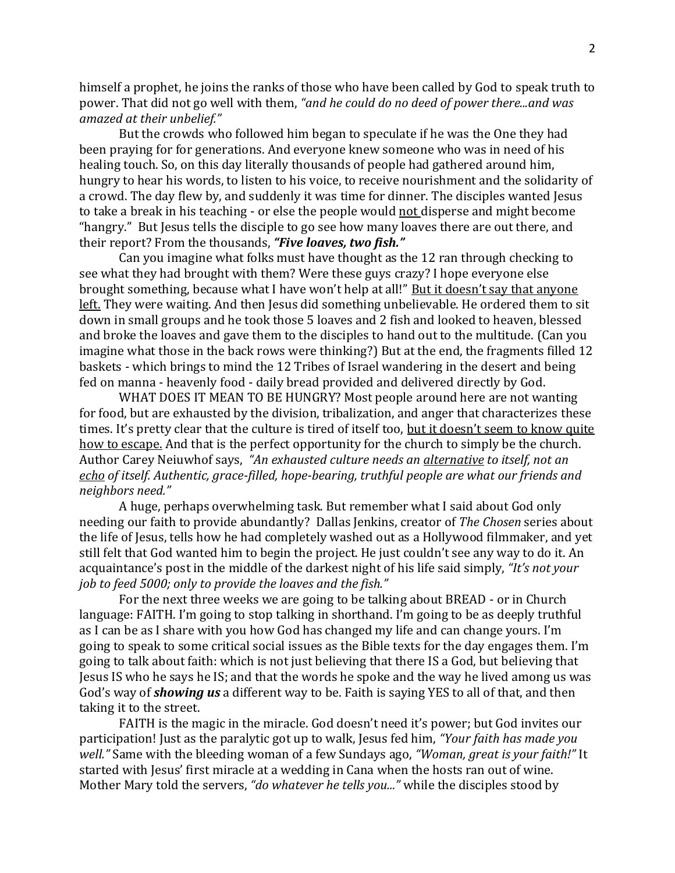himself a prophet, he joins the ranks of those who have been called by God to speak truth to power. That did not go well with them, *"and he could do no deed of power there...and was amazed at their unbelief."*

But the crowds who followed him began to speculate if he was the One they had been praying for for generations. And everyone knew someone who was in need of his healing touch. So, on this day literally thousands of people had gathered around him, hungry to hear his words, to listen to his voice, to receive nourishment and the solidarity of a crowd. The day flew by, and suddenly it was time for dinner. The disciples wanted Jesus to take a break in his teaching - or else the people would not disperse and might become "hangry." But Jesus tells the disciple to go see how many loaves there are out there, and their report? From the thousands, *"Five loaves, two fish."*

Can you imagine what folks must have thought as the 12 ran through checking to see what they had brought with them? Were these guys crazy? I hope everyone else brought something, because what I have won't help at all!" But it doesn't say that anyone left. They were waiting. And then Jesus did something unbelievable. He ordered them to sit down in small groups and he took those 5 loaves and 2 fish and looked to heaven, blessed and broke the loaves and gave them to the disciples to hand out to the multitude. (Can you imagine what those in the back rows were thinking?) But at the end, the fragments filled 12 baskets - which brings to mind the 12 Tribes of Israel wandering in the desert and being fed on manna - heavenly food - daily bread provided and delivered directly by God.

WHAT DOES IT MEAN TO BE HUNGRY? Most people around here are not wanting for food, but are exhausted by the division, tribalization, and anger that characterizes these times. It's pretty clear that the culture is tired of itself too, but it doesn't seem to know quite how to escape. And that is the perfect opportunity for the church to simply be the church. Author Carey Neiuwhof says, *"An exhausted culture needs an alternative to itself, not an echo of itself. Authentic, grace-filled, hope-bearing, truthful people are what our friends and neighbors need."*

A huge, perhaps overwhelming task. But remember what I said about God only needing our faith to provide abundantly? Dallas Jenkins, creator of *The Chosen* series about the life of Jesus, tells how he had completely washed out as a Hollywood filmmaker, and yet still felt that God wanted him to begin the project. He just couldn't see any way to do it. An acquaintance's post in the middle of the darkest night of his life said simply, *"It's not your job to feed 5000; only to provide the loaves and the fish."*

For the next three weeks we are going to be talking about BREAD - or in Church language: FAITH. I'm going to stop talking in shorthand. I'm going to be as deeply truthful as I can be as I share with you how God has changed my life and can change yours. I'm going to speak to some critical social issues as the Bible texts for the day engages them. I'm going to talk about faith: which is not just believing that there IS a God, but believing that Jesus IS who he says he IS; and that the words he spoke and the way he lived among us was God's way of *showing us* a different way to be. Faith is saying YES to all of that, and then taking it to the street.

FAITH is the magic in the miracle. God doesn't need it's power; but God invites our participation! Just as the paralytic got up to walk, Jesus fed him, *"Your faith has made you well."* Same with the bleeding woman of a few Sundays ago, *"Woman, great is your faith!"* It started with Jesus' first miracle at a wedding in Cana when the hosts ran out of wine. Mother Mary told the servers, *"do whatever he tells you..."* while the disciples stood by